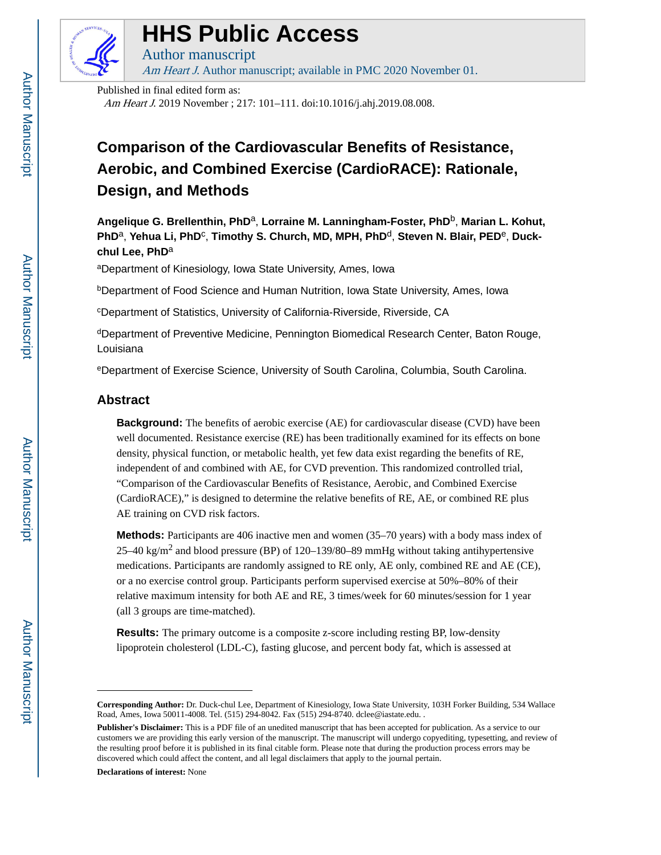

# **HHS Public Access**

Am Heart J. Author manuscript; available in PMC 2020 November 01.

Published in final edited form as:

Author manuscript

Am Heart J. 2019 November ; 217: 101–111. doi:10.1016/j.ahj.2019.08.008.

## **Comparison of the Cardiovascular Benefits of Resistance, Aerobic, and Combined Exercise (CardioRACE): Rationale, Design, and Methods**

**Angelique G. Brellenthin, PhD**a, **Lorraine M. Lanningham-Foster, PhD**b, **Marian L. Kohut,**  PhD<sup>a</sup>, Yehua Li, PhD<sup>c</sup>, Timothy S. Church, MD, MPH, PhD<sup>d</sup>, Steven N. Blair, PED<sup>e</sup>, Duck**chul Lee, PhD**<sup>a</sup>

<sup>a</sup>Department of Kinesiology, Iowa State University, Ames, Iowa

**bDepartment of Food Science and Human Nutrition, Iowa State University, Ames, Iowa** 

<sup>c</sup>Department of Statistics, University of California-Riverside, Riverside, CA

<sup>d</sup>Department of Preventive Medicine, Pennington Biomedical Research Center, Baton Rouge, Louisiana

<sup>e</sup>Department of Exercise Science, University of South Carolina, Columbia, South Carolina.

## **Abstract**

**Background:** The benefits of aerobic exercise (AE) for cardiovascular disease (CVD) have been well documented. Resistance exercise (RE) has been traditionally examined for its effects on bone density, physical function, or metabolic health, yet few data exist regarding the benefits of RE, independent of and combined with AE, for CVD prevention. This randomized controlled trial, "Comparison of the Cardiovascular Benefits of Resistance, Aerobic, and Combined Exercise (CardioRACE)," is designed to determine the relative benefits of RE, AE, or combined RE plus AE training on CVD risk factors.

**Methods:** Participants are 406 inactive men and women (35–70 years) with a body mass index of 25–40 kg/m<sup>2</sup> and blood pressure (BP) of 120–139/80–89 mmHg without taking antihypertensive medications. Participants are randomly assigned to RE only, AE only, combined RE and AE (CE), or a no exercise control group. Participants perform supervised exercise at 50%–80% of their relative maximum intensity for both AE and RE, 3 times/week for 60 minutes/session for 1 year (all 3 groups are time-matched).

**Results:** The primary outcome is a composite z-score including resting BP, low-density lipoprotein cholesterol (LDL-C), fasting glucose, and percent body fat, which is assessed at

**Declarations of interest:** None

**Corresponding Author:** Dr. Duck-chul Lee, Department of Kinesiology, Iowa State University, 103H Forker Building, 534 Wallace Road, Ames, Iowa 50011-4008. Tel. (515) 294-8042. Fax (515) 294-8740. dclee@iastate.edu. .

**Publisher's Disclaimer:** This is a PDF file of an unedited manuscript that has been accepted for publication. As a service to our customers we are providing this early version of the manuscript. The manuscript will undergo copyediting, typesetting, and review of the resulting proof before it is published in its final citable form. Please note that during the production process errors may be discovered which could affect the content, and all legal disclaimers that apply to the journal pertain.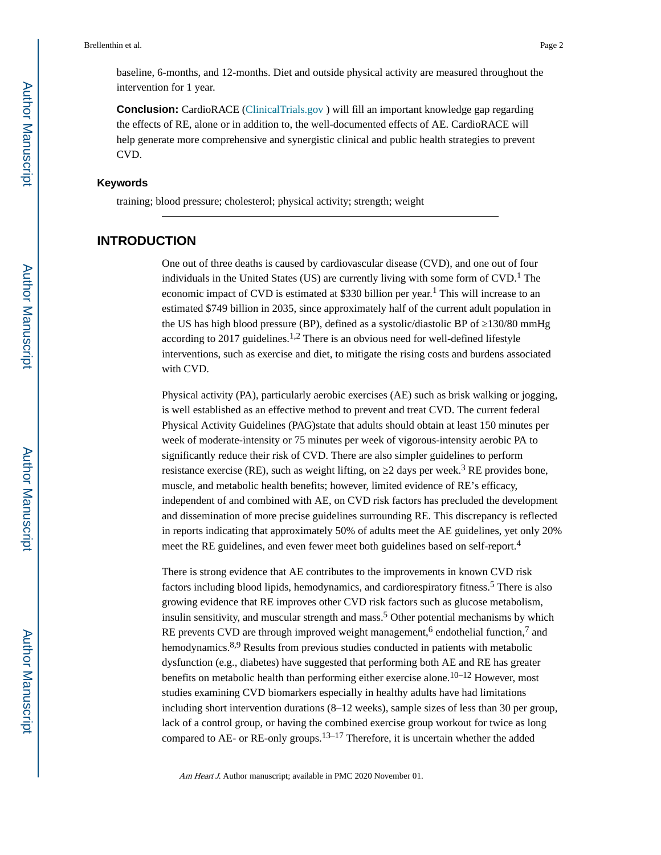baseline, 6-months, and 12-months. Diet and outside physical activity are measured throughout the intervention for 1 year.

**Conclusion:** CardioRACE (ClinicalTrials.gov) will fill an important knowledge gap regarding the effects of RE, alone or in addition to, the well-documented effects of AE. CardioRACE will help generate more comprehensive and synergistic clinical and public health strategies to prevent CVD.

### **Keywords**

training; blood pressure; cholesterol; physical activity; strength; weight

## **INTRODUCTION**

One out of three deaths is caused by cardiovascular disease (CVD), and one out of four individuals in the United States (US) are currently living with some form of CVD.<sup>1</sup> The economic impact of CVD is estimated at \$330 billion per year.<sup>1</sup> This will increase to an estimated \$749 billion in 2035, since approximately half of the current adult population in the US has high blood pressure (BP), defined as a systolic/diastolic BP of 130/80 mmHg according to 2017 guidelines.<sup>1,2</sup> There is an obvious need for well-defined lifestyle interventions, such as exercise and diet, to mitigate the rising costs and burdens associated with CVD.

Physical activity (PA), particularly aerobic exercises (AE) such as brisk walking or jogging, is well established as an effective method to prevent and treat CVD. The current federal Physical Activity Guidelines (PAG)state that adults should obtain at least 150 minutes per week of moderate-intensity or 75 minutes per week of vigorous-intensity aerobic PA to significantly reduce their risk of CVD. There are also simpler guidelines to perform resistance exercise (RE), such as weight lifting, on  $2$  days per week.<sup>3</sup> RE provides bone, muscle, and metabolic health benefits; however, limited evidence of RE's efficacy, independent of and combined with AE, on CVD risk factors has precluded the development and dissemination of more precise guidelines surrounding RE. This discrepancy is reflected in reports indicating that approximately 50% of adults meet the AE guidelines, yet only 20% meet the RE guidelines, and even fewer meet both guidelines based on self-report.<sup>4</sup>

There is strong evidence that AE contributes to the improvements in known CVD risk factors including blood lipids, hemodynamics, and cardiorespiratory fitness.<sup>5</sup> There is also growing evidence that RE improves other CVD risk factors such as glucose metabolism, insulin sensitivity, and muscular strength and mass.<sup>5</sup> Other potential mechanisms by which RE prevents CVD are through improved weight management,<sup>6</sup> endothelial function,<sup>7</sup> and hemodynamics.<sup>8,9</sup> Results from previous studies conducted in patients with metabolic dysfunction (e.g., diabetes) have suggested that performing both AE and RE has greater benefits on metabolic health than performing either exercise alone.<sup>10–12</sup> However, most studies examining CVD biomarkers especially in healthy adults have had limitations including short intervention durations (8–12 weeks), sample sizes of less than 30 per group, lack of a control group, or having the combined exercise group workout for twice as long compared to AE- or RE-only groups.13–17 Therefore, it is uncertain whether the added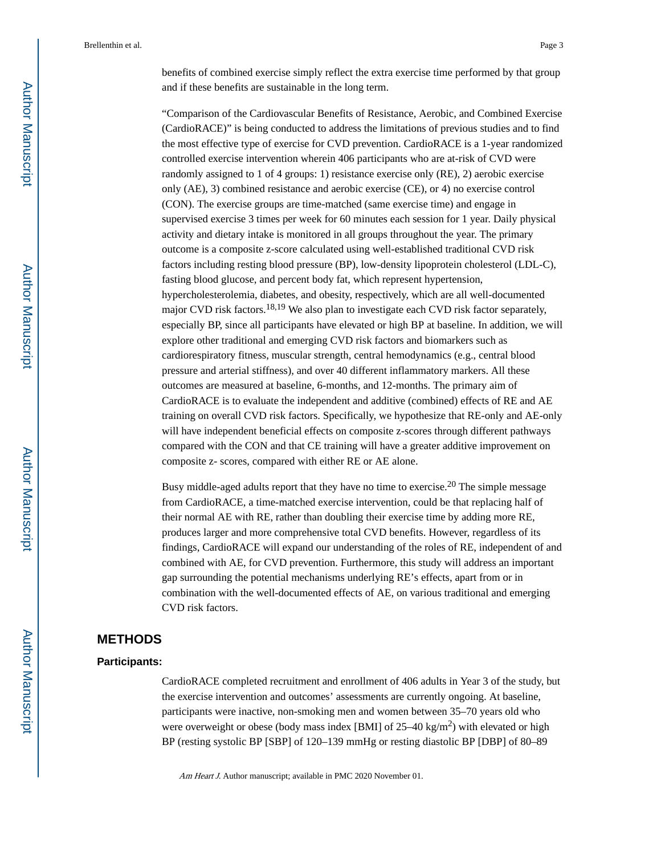benefits of combined exercise simply reflect the extra exercise time performed by that group and if these benefits are sustainable in the long term.

"Comparison of the Cardiovascular Benefits of Resistance, Aerobic, and Combined Exercise (CardioRACE)" is being conducted to address the limitations of previous studies and to find the most effective type of exercise for CVD prevention. CardioRACE is a 1-year randomized controlled exercise intervention wherein 406 participants who are at-risk of CVD were randomly assigned to 1 of 4 groups: 1) resistance exercise only (RE), 2) aerobic exercise only (AE), 3) combined resistance and aerobic exercise (CE), or 4) no exercise control (CON). The exercise groups are time-matched (same exercise time) and engage in supervised exercise 3 times per week for 60 minutes each session for 1 year. Daily physical activity and dietary intake is monitored in all groups throughout the year. The primary outcome is a composite z-score calculated using well-established traditional CVD risk factors including resting blood pressure (BP), low-density lipoprotein cholesterol (LDL-C), fasting blood glucose, and percent body fat, which represent hypertension, hypercholesterolemia, diabetes, and obesity, respectively, which are all well-documented major CVD risk factors.18,19 We also plan to investigate each CVD risk factor separately, especially BP, since all participants have elevated or high BP at baseline. In addition, we will explore other traditional and emerging CVD risk factors and biomarkers such as cardiorespiratory fitness, muscular strength, central hemodynamics (e.g., central blood pressure and arterial stiffness), and over 40 different inflammatory markers. All these outcomes are measured at baseline, 6-months, and 12-months. The primary aim of CardioRACE is to evaluate the independent and additive (combined) effects of RE and AE training on overall CVD risk factors. Specifically, we hypothesize that RE-only and AE-only will have independent beneficial effects on composite z-scores through different pathways compared with the CON and that CE training will have a greater additive improvement on composite z- scores, compared with either RE or AE alone.

Busy middle-aged adults report that they have no time to exercise.<sup>20</sup> The simple message from CardioRACE, a time-matched exercise intervention, could be that replacing half of their normal AE with RE, rather than doubling their exercise time by adding more RE, produces larger and more comprehensive total CVD benefits. However, regardless of its findings, CardioRACE will expand our understanding of the roles of RE, independent of and combined with AE, for CVD prevention. Furthermore, this study will address an important gap surrounding the potential mechanisms underlying RE's effects, apart from or in combination with the well-documented effects of AE, on various traditional and emerging CVD risk factors.

## **METHODS**

#### **Participants:**

CardioRACE completed recruitment and enrollment of 406 adults in Year 3 of the study, but the exercise intervention and outcomes' assessments are currently ongoing. At baseline, participants were inactive, non-smoking men and women between 35–70 years old who were overweight or obese (body mass index [BMI] of  $25-40 \text{ kg/m}^2$ ) with elevated or high BP (resting systolic BP [SBP] of 120–139 mmHg or resting diastolic BP [DBP] of 80–89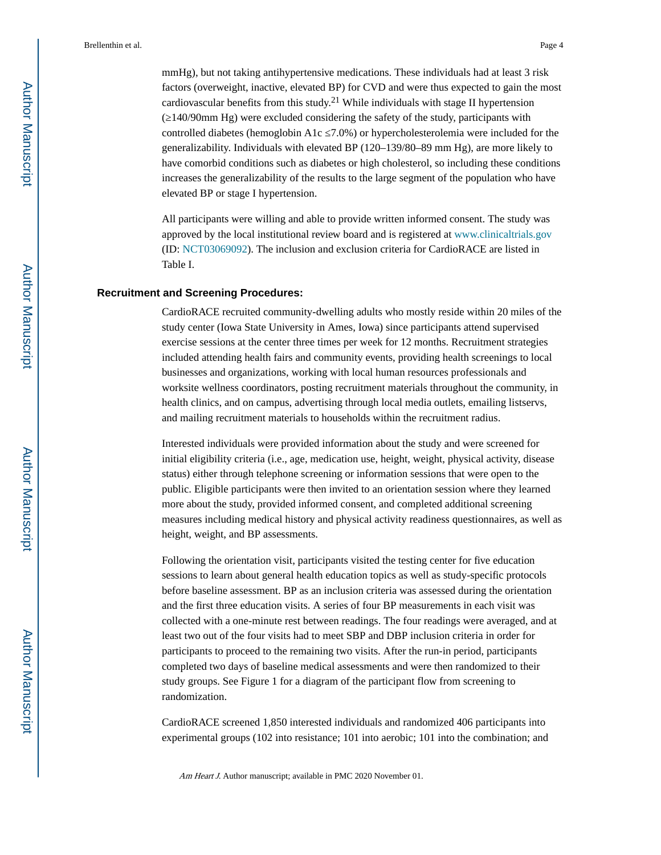mmHg), but not taking antihypertensive medications. These individuals had at least 3 risk factors (overweight, inactive, elevated BP) for CVD and were thus expected to gain the most cardiovascular benefits from this study.<sup>21</sup> While individuals with stage II hypertension (≥140/90mm Hg) were excluded considering the safety of the study, participants with controlled diabetes (hemoglobin A1c 7.0%) or hypercholesterolemia were included for the generalizability. Individuals with elevated BP (120–139/80–89 mm Hg), are more likely to have comorbid conditions such as diabetes or high cholesterol, so including these conditions increases the generalizability of the results to the large segment of the population who have elevated BP or stage I hypertension.

All participants were willing and able to provide written informed consent. The study was approved by the local institutional review board and is registered at [www.clinicaltrials.gov](http://www.clinicaltrials.gov/) (ID: [NCT03069092](https://NCT03069092)). The inclusion and exclusion criteria for CardioRACE are listed in Table I.

#### **Recruitment and Screening Procedures:**

CardioRACE recruited community-dwelling adults who mostly reside within 20 miles of the study center (Iowa State University in Ames, Iowa) since participants attend supervised exercise sessions at the center three times per week for 12 months. Recruitment strategies included attending health fairs and community events, providing health screenings to local businesses and organizations, working with local human resources professionals and worksite wellness coordinators, posting recruitment materials throughout the community, in health clinics, and on campus, advertising through local media outlets, emailing listservs, and mailing recruitment materials to households within the recruitment radius.

Interested individuals were provided information about the study and were screened for initial eligibility criteria (i.e., age, medication use, height, weight, physical activity, disease status) either through telephone screening or information sessions that were open to the public. Eligible participants were then invited to an orientation session where they learned more about the study, provided informed consent, and completed additional screening measures including medical history and physical activity readiness questionnaires, as well as height, weight, and BP assessments.

Following the orientation visit, participants visited the testing center for five education sessions to learn about general health education topics as well as study-specific protocols before baseline assessment. BP as an inclusion criteria was assessed during the orientation and the first three education visits. A series of four BP measurements in each visit was collected with a one-minute rest between readings. The four readings were averaged, and at least two out of the four visits had to meet SBP and DBP inclusion criteria in order for participants to proceed to the remaining two visits. After the run-in period, participants completed two days of baseline medical assessments and were then randomized to their study groups. See Figure 1 for a diagram of the participant flow from screening to randomization.

CardioRACE screened 1,850 interested individuals and randomized 406 participants into experimental groups (102 into resistance; 101 into aerobic; 101 into the combination; and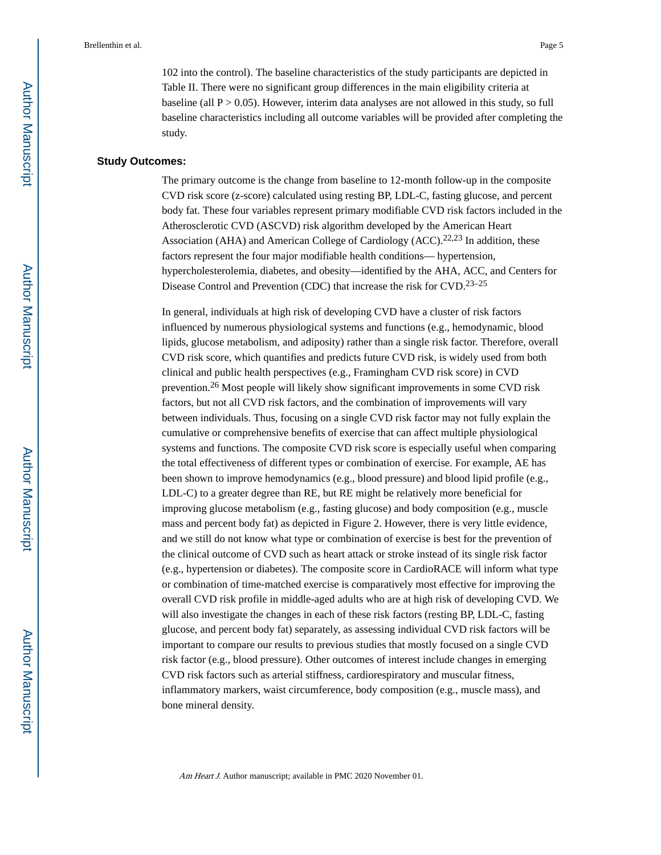102 into the control). The baseline characteristics of the study participants are depicted in Table II. There were no significant group differences in the main eligibility criteria at baseline (all  $P > 0.05$ ). However, interim data analyses are not allowed in this study, so full baseline characteristics including all outcome variables will be provided after completing the study.

#### **Study Outcomes:**

The primary outcome is the change from baseline to 12-month follow-up in the composite CVD risk score (z-score) calculated using resting BP, LDL-C, fasting glucose, and percent body fat. These four variables represent primary modifiable CVD risk factors included in the Atherosclerotic CVD (ASCVD) risk algorithm developed by the American Heart Association (AHA) and American College of Cardiology (ACC).<sup>22,23</sup> In addition, these factors represent the four major modifiable health conditions— hypertension, hypercholesterolemia, diabetes, and obesity—identified by the AHA, ACC, and Centers for Disease Control and Prevention (CDC) that increase the risk for CVD.23–25

In general, individuals at high risk of developing CVD have a cluster of risk factors influenced by numerous physiological systems and functions (e.g., hemodynamic, blood lipids, glucose metabolism, and adiposity) rather than a single risk factor. Therefore, overall CVD risk score, which quantifies and predicts future CVD risk, is widely used from both clinical and public health perspectives (e.g., Framingham CVD risk score) in CVD prevention.26 Most people will likely show significant improvements in some CVD risk factors, but not all CVD risk factors, and the combination of improvements will vary between individuals. Thus, focusing on a single CVD risk factor may not fully explain the cumulative or comprehensive benefits of exercise that can affect multiple physiological systems and functions. The composite CVD risk score is especially useful when comparing the total effectiveness of different types or combination of exercise. For example, AE has been shown to improve hemodynamics (e.g., blood pressure) and blood lipid profile (e.g., LDL-C) to a greater degree than RE, but RE might be relatively more beneficial for improving glucose metabolism (e.g., fasting glucose) and body composition (e.g., muscle mass and percent body fat) as depicted in Figure 2. However, there is very little evidence, and we still do not know what type or combination of exercise is best for the prevention of the clinical outcome of CVD such as heart attack or stroke instead of its single risk factor (e.g., hypertension or diabetes). The composite score in CardioRACE will inform what type or combination of time-matched exercise is comparatively most effective for improving the overall CVD risk profile in middle-aged adults who are at high risk of developing CVD. We will also investigate the changes in each of these risk factors (resting BP, LDL-C, fasting glucose, and percent body fat) separately, as assessing individual CVD risk factors will be important to compare our results to previous studies that mostly focused on a single CVD risk factor (e.g., blood pressure). Other outcomes of interest include changes in emerging CVD risk factors such as arterial stiffness, cardiorespiratory and muscular fitness, inflammatory markers, waist circumference, body composition (e.g., muscle mass), and bone mineral density.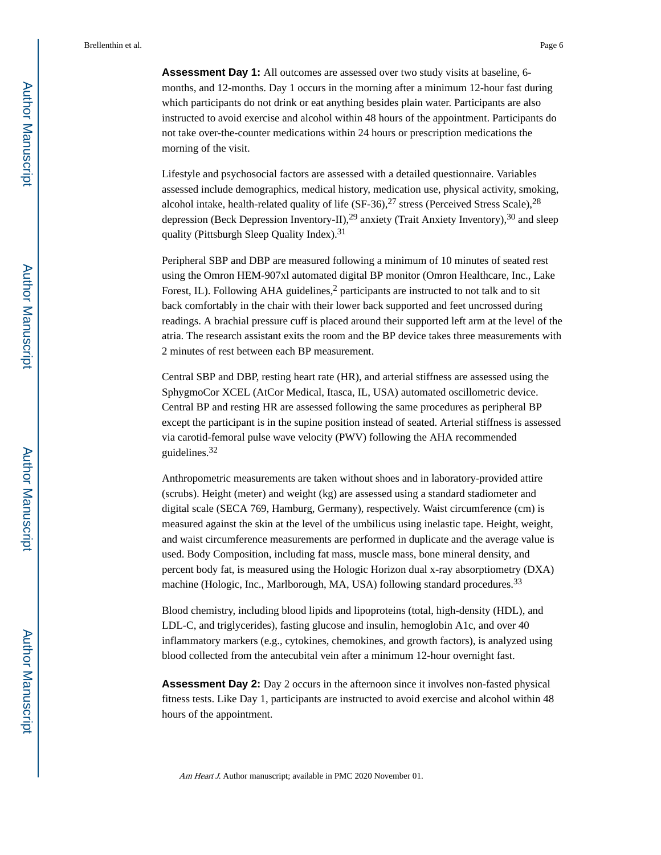**Assessment Day 1:** All outcomes are assessed over two study visits at baseline, 6 months, and 12-months. Day 1 occurs in the morning after a minimum 12-hour fast during which participants do not drink or eat anything besides plain water. Participants are also instructed to avoid exercise and alcohol within 48 hours of the appointment. Participants do not take over-the-counter medications within 24 hours or prescription medications the morning of the visit.

Lifestyle and psychosocial factors are assessed with a detailed questionnaire. Variables assessed include demographics, medical history, medication use, physical activity, smoking, alcohol intake, health-related quality of life  $(SF-36),^{27}$  stress (Perceived Stress Scale),  $^{28}$ depression (Beck Depression Inventory-II),<sup>29</sup> anxiety (Trait Anxiety Inventory),<sup>30</sup> and sleep quality (Pittsburgh Sleep Quality Index).<sup>31</sup>

Peripheral SBP and DBP are measured following a minimum of 10 minutes of seated rest using the Omron HEM-907xl automated digital BP monitor (Omron Healthcare, Inc., Lake Forest, IL). Following AHA guidelines,<sup>2</sup> participants are instructed to not talk and to sit back comfortably in the chair with their lower back supported and feet uncrossed during readings. A brachial pressure cuff is placed around their supported left arm at the level of the atria. The research assistant exits the room and the BP device takes three measurements with 2 minutes of rest between each BP measurement.

Central SBP and DBP, resting heart rate (HR), and arterial stiffness are assessed using the SphygmoCor XCEL (AtCor Medical, Itasca, IL, USA) automated oscillometric device. Central BP and resting HR are assessed following the same procedures as peripheral BP except the participant is in the supine position instead of seated. Arterial stiffness is assessed via carotid-femoral pulse wave velocity (PWV) following the AHA recommended guidelines.<sup>32</sup>

Anthropometric measurements are taken without shoes and in laboratory-provided attire (scrubs). Height (meter) and weight (kg) are assessed using a standard stadiometer and digital scale (SECA 769, Hamburg, Germany), respectively. Waist circumference (cm) is measured against the skin at the level of the umbilicus using inelastic tape. Height, weight, and waist circumference measurements are performed in duplicate and the average value is used. Body Composition, including fat mass, muscle mass, bone mineral density, and percent body fat, is measured using the Hologic Horizon dual x-ray absorptiometry (DXA) machine (Hologic, Inc., Marlborough, MA, USA) following standard procedures.<sup>33</sup>

Blood chemistry, including blood lipids and lipoproteins (total, high-density (HDL), and LDL-C, and triglycerides), fasting glucose and insulin, hemoglobin A1c, and over 40 inflammatory markers (e.g., cytokines, chemokines, and growth factors), is analyzed using blood collected from the antecubital vein after a minimum 12-hour overnight fast.

**Assessment Day 2:** Day 2 occurs in the afternoon since it involves non-fasted physical fitness tests. Like Day 1, participants are instructed to avoid exercise and alcohol within 48 hours of the appointment.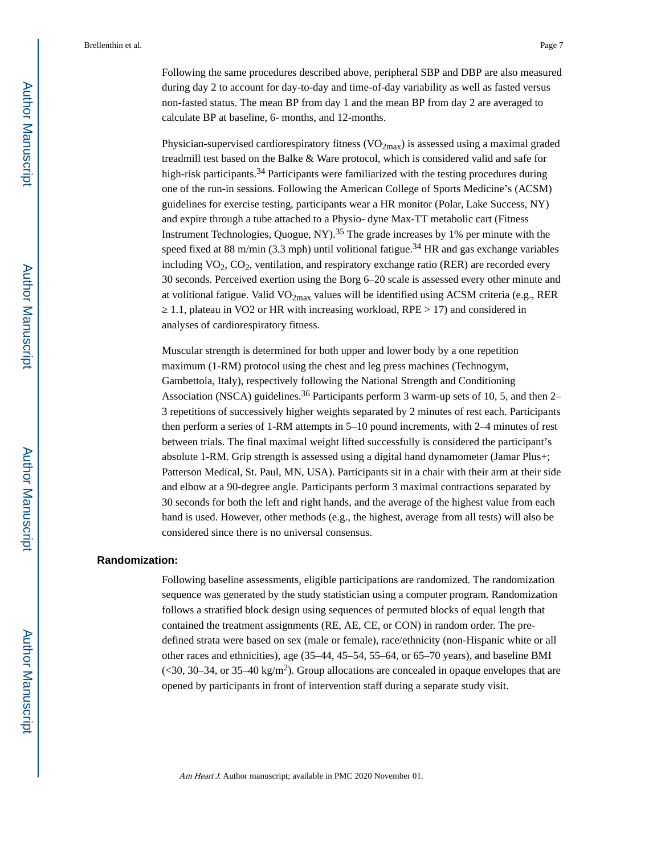Following the same procedures described above, peripheral SBP and DBP are also measured during day 2 to account for day-to-day and time-of-day variability as well as fasted versus non-fasted status. The mean BP from day 1 and the mean BP from day 2 are averaged to calculate BP at baseline, 6- months, and 12-months.

Physician-supervised cardiorespiratory fitness  $(VO_{2max})$  is assessed using a maximal graded treadmill test based on the Balke & Ware protocol, which is considered valid and safe for high-risk participants.<sup>34</sup> Participants were familiarized with the testing procedures during one of the run-in sessions. Following the American College of Sports Medicine's (ACSM) guidelines for exercise testing, participants wear a HR monitor (Polar, Lake Success, NY) and expire through a tube attached to a Physio- dyne Max-TT metabolic cart (Fitness Instrument Technologies, Quogue, NY $)^{35}$  The grade increases by 1% per minute with the speed fixed at 88 m/min (3.3 mph) until volitional fatigue.<sup>34</sup> HR and gas exchange variables including  $VO_2$ ,  $CO_2$ , ventilation, and respiratory exchange ratio (RER) are recorded every 30 seconds. Perceived exertion using the Borg 6–20 scale is assessed every other minute and at volitional fatigue. Valid  $VO<sub>2max</sub>$  values will be identified using ACSM criteria (e.g., RER

≥ 1.1, plateau in VO2 or HR with increasing workload, RPE > 17) and considered in analyses of cardiorespiratory fitness.

Muscular strength is determined for both upper and lower body by a one repetition maximum (1-RM) protocol using the chest and leg press machines (Technogym, Gambettola, Italy), respectively following the National Strength and Conditioning Association (NSCA) guidelines.<sup>36</sup> Participants perform 3 warm-up sets of 10, 5, and then 2– 3 repetitions of successively higher weights separated by 2 minutes of rest each. Participants then perform a series of 1-RM attempts in 5–10 pound increments, with 2–4 minutes of rest between trials. The final maximal weight lifted successfully is considered the participant's absolute 1-RM. Grip strength is assessed using a digital hand dynamometer (Jamar Plus+; Patterson Medical, St. Paul, MN, USA). Participants sit in a chair with their arm at their side and elbow at a 90-degree angle. Participants perform 3 maximal contractions separated by 30 seconds for both the left and right hands, and the average of the highest value from each hand is used. However, other methods (e.g., the highest, average from all tests) will also be considered since there is no universal consensus.

#### **Randomization:**

Following baseline assessments, eligible participations are randomized. The randomization sequence was generated by the study statistician using a computer program. Randomization follows a stratified block design using sequences of permuted blocks of equal length that contained the treatment assignments (RE, AE, CE, or CON) in random order. The predefined strata were based on sex (male or female), race/ethnicity (non-Hispanic white or all other races and ethnicities), age (35–44, 45–54, 55–64, or 65–70 years), and baseline BMI  $\approx$  30–34, or 35–40 kg/m<sup>2</sup>). Group allocations are concealed in opaque envelopes that are opened by participants in front of intervention staff during a separate study visit.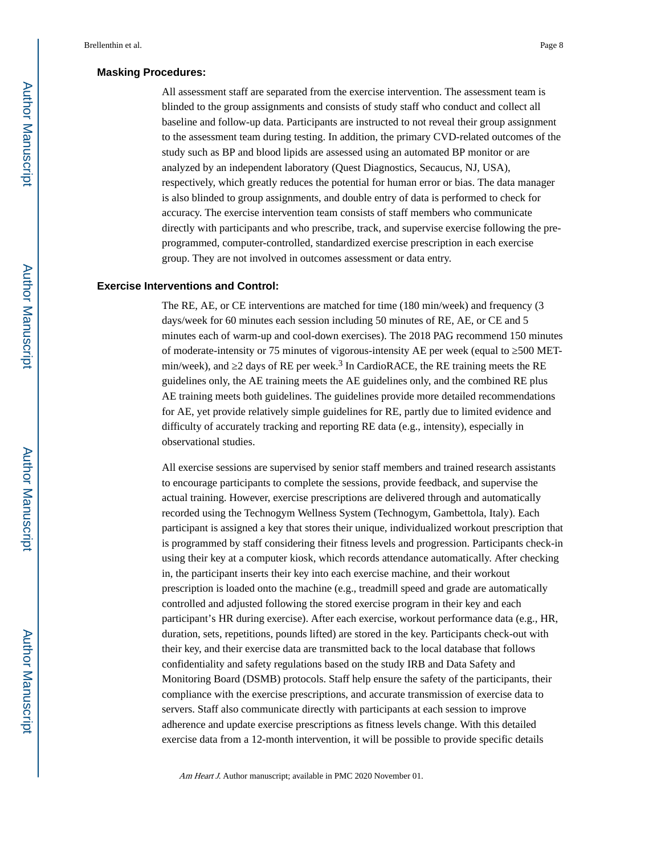#### **Masking Procedures:**

All assessment staff are separated from the exercise intervention. The assessment team is blinded to the group assignments and consists of study staff who conduct and collect all baseline and follow-up data. Participants are instructed to not reveal their group assignment to the assessment team during testing. In addition, the primary CVD-related outcomes of the study such as BP and blood lipids are assessed using an automated BP monitor or are analyzed by an independent laboratory (Quest Diagnostics, Secaucus, NJ, USA), respectively, which greatly reduces the potential for human error or bias. The data manager is also blinded to group assignments, and double entry of data is performed to check for accuracy. The exercise intervention team consists of staff members who communicate directly with participants and who prescribe, track, and supervise exercise following the preprogrammed, computer-controlled, standardized exercise prescription in each exercise group. They are not involved in outcomes assessment or data entry.

#### **Exercise Interventions and Control:**

The RE, AE, or CE interventions are matched for time (180 min/week) and frequency (3 days/week for 60 minutes each session including 50 minutes of RE, AE, or CE and 5 minutes each of warm-up and cool-down exercises). The 2018 PAG recommend 150 minutes of moderate-intensity or 75 minutes of vigorous-intensity AE per week (equal to  $500$  METmin/week), and 2 days of RE per week.<sup>3</sup> In CardioRACE, the RE training meets the RE guidelines only, the AE training meets the AE guidelines only, and the combined RE plus AE training meets both guidelines. The guidelines provide more detailed recommendations for AE, yet provide relatively simple guidelines for RE, partly due to limited evidence and difficulty of accurately tracking and reporting RE data (e.g., intensity), especially in observational studies.

All exercise sessions are supervised by senior staff members and trained research assistants to encourage participants to complete the sessions, provide feedback, and supervise the actual training. However, exercise prescriptions are delivered through and automatically recorded using the Technogym Wellness System (Technogym, Gambettola, Italy). Each participant is assigned a key that stores their unique, individualized workout prescription that is programmed by staff considering their fitness levels and progression. Participants check-in using their key at a computer kiosk, which records attendance automatically. After checking in, the participant inserts their key into each exercise machine, and their workout prescription is loaded onto the machine (e.g., treadmill speed and grade are automatically controlled and adjusted following the stored exercise program in their key and each participant's HR during exercise). After each exercise, workout performance data (e.g., HR, duration, sets, repetitions, pounds lifted) are stored in the key. Participants check-out with their key, and their exercise data are transmitted back to the local database that follows confidentiality and safety regulations based on the study IRB and Data Safety and Monitoring Board (DSMB) protocols. Staff help ensure the safety of the participants, their compliance with the exercise prescriptions, and accurate transmission of exercise data to servers. Staff also communicate directly with participants at each session to improve adherence and update exercise prescriptions as fitness levels change. With this detailed exercise data from a 12-month intervention, it will be possible to provide specific details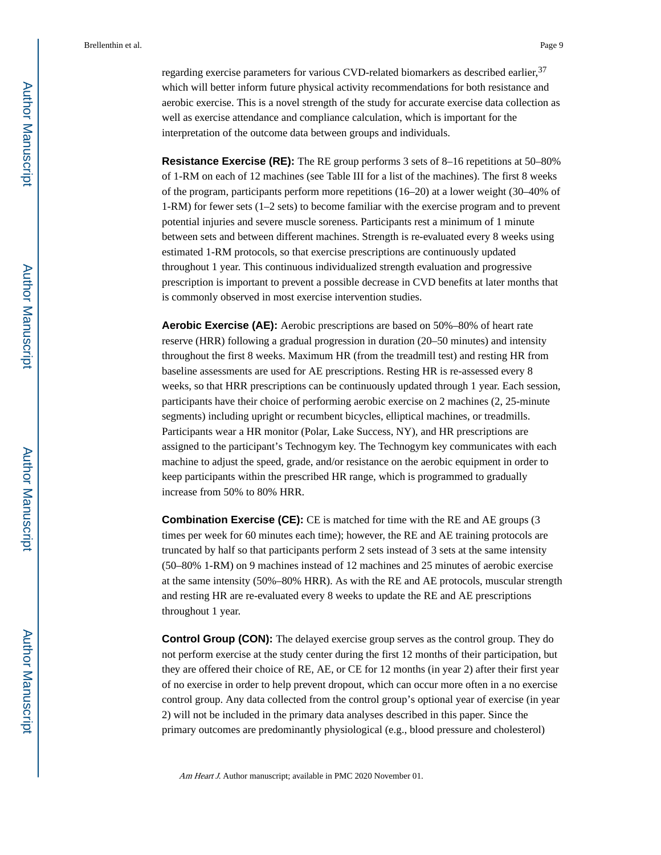regarding exercise parameters for various CVD-related biomarkers as described earlier, <sup>37</sup> which will better inform future physical activity recommendations for both resistance and aerobic exercise. This is a novel strength of the study for accurate exercise data collection as well as exercise attendance and compliance calculation, which is important for the interpretation of the outcome data between groups and individuals.

**Resistance Exercise (RE):** The RE group performs 3 sets of 8–16 repetitions at 50–80% of 1-RM on each of 12 machines (see Table III for a list of the machines). The first 8 weeks of the program, participants perform more repetitions (16–20) at a lower weight (30–40% of 1-RM) for fewer sets (1–2 sets) to become familiar with the exercise program and to prevent potential injuries and severe muscle soreness. Participants rest a minimum of 1 minute between sets and between different machines. Strength is re-evaluated every 8 weeks using estimated 1-RM protocols, so that exercise prescriptions are continuously updated throughout 1 year. This continuous individualized strength evaluation and progressive prescription is important to prevent a possible decrease in CVD benefits at later months that is commonly observed in most exercise intervention studies.

**Aerobic Exercise (AE):** Aerobic prescriptions are based on 50%–80% of heart rate reserve (HRR) following a gradual progression in duration (20–50 minutes) and intensity throughout the first 8 weeks. Maximum HR (from the treadmill test) and resting HR from baseline assessments are used for AE prescriptions. Resting HR is re-assessed every 8 weeks, so that HRR prescriptions can be continuously updated through 1 year. Each session, participants have their choice of performing aerobic exercise on 2 machines (2, 25-minute segments) including upright or recumbent bicycles, elliptical machines, or treadmills. Participants wear a HR monitor (Polar, Lake Success, NY), and HR prescriptions are assigned to the participant's Technogym key. The Technogym key communicates with each machine to adjust the speed, grade, and/or resistance on the aerobic equipment in order to keep participants within the prescribed HR range, which is programmed to gradually increase from 50% to 80% HRR.

**Combination Exercise (CE):** CE is matched for time with the RE and AE groups (3) times per week for 60 minutes each time); however, the RE and AE training protocols are truncated by half so that participants perform 2 sets instead of 3 sets at the same intensity (50–80% 1-RM) on 9 machines instead of 12 machines and 25 minutes of aerobic exercise at the same intensity (50%–80% HRR). As with the RE and AE protocols, muscular strength and resting HR are re-evaluated every 8 weeks to update the RE and AE prescriptions throughout 1 year.

**Control Group (CON):** The delayed exercise group serves as the control group. They do not perform exercise at the study center during the first 12 months of their participation, but they are offered their choice of RE, AE, or CE for 12 months (in year 2) after their first year of no exercise in order to help prevent dropout, which can occur more often in a no exercise control group. Any data collected from the control group's optional year of exercise (in year 2) will not be included in the primary data analyses described in this paper. Since the primary outcomes are predominantly physiological (e.g., blood pressure and cholesterol)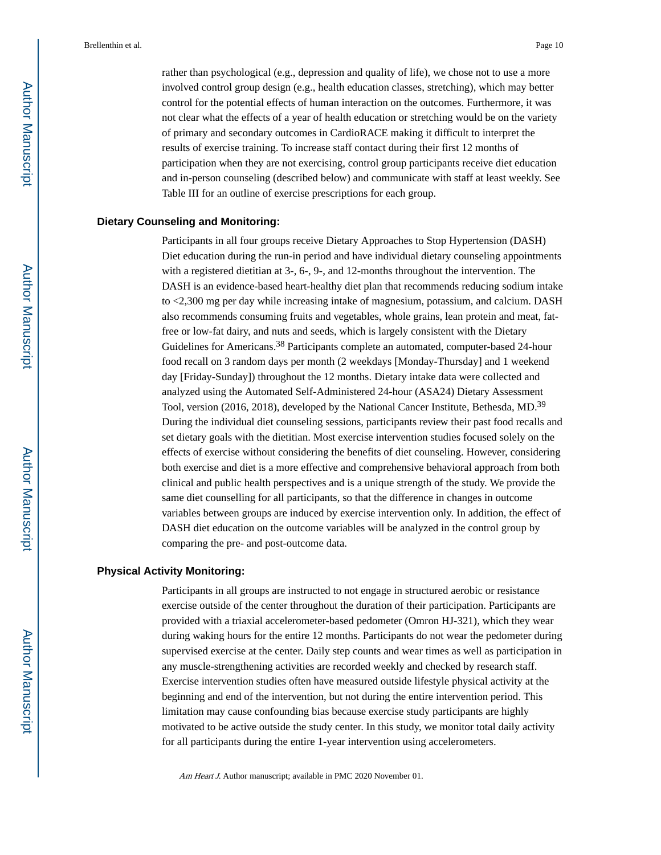rather than psychological (e.g., depression and quality of life), we chose not to use a more involved control group design (e.g., health education classes, stretching), which may better control for the potential effects of human interaction on the outcomes. Furthermore, it was not clear what the effects of a year of health education or stretching would be on the variety of primary and secondary outcomes in CardioRACE making it difficult to interpret the results of exercise training. To increase staff contact during their first 12 months of participation when they are not exercising, control group participants receive diet education and in-person counseling (described below) and communicate with staff at least weekly. See Table III for an outline of exercise prescriptions for each group.

#### **Dietary Counseling and Monitoring:**

Participants in all four groups receive Dietary Approaches to Stop Hypertension (DASH) Diet education during the run-in period and have individual dietary counseling appointments with a registered dietitian at 3-, 6-, 9-, and 12-months throughout the intervention. The DASH is an evidence-based heart-healthy diet plan that recommends reducing sodium intake to <2,300 mg per day while increasing intake of magnesium, potassium, and calcium. DASH also recommends consuming fruits and vegetables, whole grains, lean protein and meat, fatfree or low-fat dairy, and nuts and seeds, which is largely consistent with the Dietary Guidelines for Americans.38 Participants complete an automated, computer-based 24-hour food recall on 3 random days per month (2 weekdays [Monday-Thursday] and 1 weekend day [Friday-Sunday]) throughout the 12 months. Dietary intake data were collected and analyzed using the Automated Self-Administered 24-hour (ASA24) Dietary Assessment Tool, version (2016, 2018), developed by the National Cancer Institute, Bethesda, MD.<sup>39</sup> During the individual diet counseling sessions, participants review their past food recalls and set dietary goals with the dietitian. Most exercise intervention studies focused solely on the effects of exercise without considering the benefits of diet counseling. However, considering both exercise and diet is a more effective and comprehensive behavioral approach from both clinical and public health perspectives and is a unique strength of the study. We provide the same diet counselling for all participants, so that the difference in changes in outcome variables between groups are induced by exercise intervention only. In addition, the effect of DASH diet education on the outcome variables will be analyzed in the control group by comparing the pre- and post-outcome data.

#### **Physical Activity Monitoring:**

Participants in all groups are instructed to not engage in structured aerobic or resistance exercise outside of the center throughout the duration of their participation. Participants are provided with a triaxial accelerometer-based pedometer (Omron HJ-321), which they wear during waking hours for the entire 12 months. Participants do not wear the pedometer during supervised exercise at the center. Daily step counts and wear times as well as participation in any muscle-strengthening activities are recorded weekly and checked by research staff. Exercise intervention studies often have measured outside lifestyle physical activity at the beginning and end of the intervention, but not during the entire intervention period. This limitation may cause confounding bias because exercise study participants are highly motivated to be active outside the study center. In this study, we monitor total daily activity for all participants during the entire 1-year intervention using accelerometers.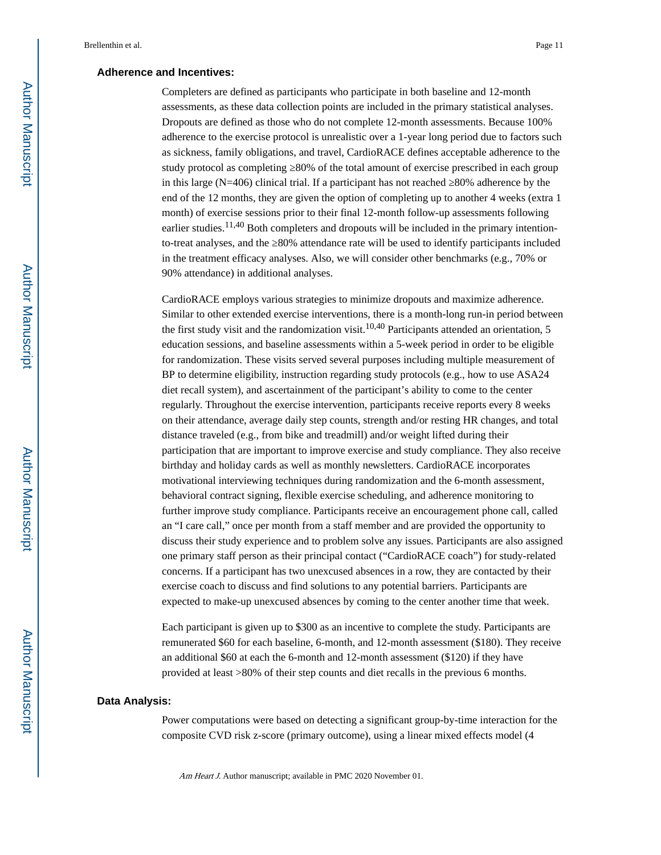#### **Adherence and Incentives:**

Completers are defined as participants who participate in both baseline and 12-month assessments, as these data collection points are included in the primary statistical analyses. Dropouts are defined as those who do not complete 12-month assessments. Because 100% adherence to the exercise protocol is unrealistic over a 1-year long period due to factors such as sickness, family obligations, and travel, CardioRACE defines acceptable adherence to the study protocol as completing  $80\%$  of the total amount of exercise prescribed in each group in this large ( $N=406$ ) clinical trial. If a participant has not reached  $80\%$  adherence by the end of the 12 months, they are given the option of completing up to another 4 weeks (extra 1 month) of exercise sessions prior to their final 12-month follow-up assessments following earlier studies.<sup>11,40</sup> Both completers and dropouts will be included in the primary intentionto-treat analyses, and the 80% attendance rate will be used to identify participants included in the treatment efficacy analyses. Also, we will consider other benchmarks (e.g., 70% or 90% attendance) in additional analyses.

CardioRACE employs various strategies to minimize dropouts and maximize adherence. Similar to other extended exercise interventions, there is a month-long run-in period between the first study visit and the randomization visit.<sup>10,40</sup> Participants attended an orientation, 5 education sessions, and baseline assessments within a 5-week period in order to be eligible for randomization. These visits served several purposes including multiple measurement of BP to determine eligibility, instruction regarding study protocols (e.g., how to use ASA24 diet recall system), and ascertainment of the participant's ability to come to the center regularly. Throughout the exercise intervention, participants receive reports every 8 weeks on their attendance, average daily step counts, strength and/or resting HR changes, and total distance traveled (e.g., from bike and treadmill) and/or weight lifted during their participation that are important to improve exercise and study compliance. They also receive birthday and holiday cards as well as monthly newsletters. CardioRACE incorporates motivational interviewing techniques during randomization and the 6-month assessment, behavioral contract signing, flexible exercise scheduling, and adherence monitoring to further improve study compliance. Participants receive an encouragement phone call, called an "I care call," once per month from a staff member and are provided the opportunity to discuss their study experience and to problem solve any issues. Participants are also assigned one primary staff person as their principal contact ("CardioRACE coach") for study-related concerns. If a participant has two unexcused absences in a row, they are contacted by their exercise coach to discuss and find solutions to any potential barriers. Participants are expected to make-up unexcused absences by coming to the center another time that week.

Each participant is given up to \$300 as an incentive to complete the study. Participants are remunerated \$60 for each baseline, 6-month, and 12-month assessment (\$180). They receive an additional \$60 at each the 6-month and 12-month assessment (\$120) if they have provided at least >80% of their step counts and diet recalls in the previous 6 months.

#### **Data Analysis:**

Power computations were based on detecting a significant group-by-time interaction for the composite CVD risk z-score (primary outcome), using a linear mixed effects model (4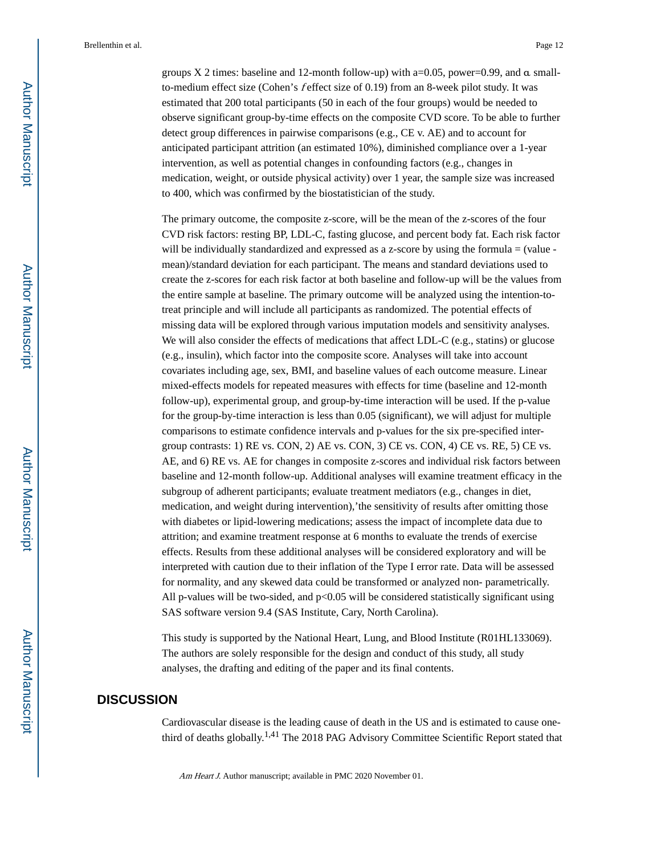groups  $X$  2 times: baseline and 12-month follow-up) with a=0.05, power=0.99, and  $\alpha$  smallto-medium effect size (Cohen's f effect size of 0.19) from an 8-week pilot study. It was estimated that 200 total participants (50 in each of the four groups) would be needed to observe significant group-by-time effects on the composite CVD score. To be able to further detect group differences in pairwise comparisons (e.g., CE v. AE) and to account for anticipated participant attrition (an estimated 10%), diminished compliance over a 1-year intervention, as well as potential changes in confounding factors (e.g., changes in medication, weight, or outside physical activity) over 1 year, the sample size was increased to 400, which was confirmed by the biostatistician of the study.

The primary outcome, the composite z-score, will be the mean of the z-scores of the four CVD risk factors: resting BP, LDL-C, fasting glucose, and percent body fat. Each risk factor will be individually standardized and expressed as a z-score by using the formula = (value mean)/standard deviation for each participant. The means and standard deviations used to create the z-scores for each risk factor at both baseline and follow-up will be the values from the entire sample at baseline. The primary outcome will be analyzed using the intention-totreat principle and will include all participants as randomized. The potential effects of missing data will be explored through various imputation models and sensitivity analyses. We will also consider the effects of medications that affect LDL-C (e.g., statins) or glucose (e.g., insulin), which factor into the composite score. Analyses will take into account covariates including age, sex, BMI, and baseline values of each outcome measure. Linear mixed-effects models for repeated measures with effects for time (baseline and 12-month follow-up), experimental group, and group-by-time interaction will be used. If the p-value for the group-by-time interaction is less than 0.05 (significant), we will adjust for multiple comparisons to estimate confidence intervals and p-values for the six pre-specified intergroup contrasts: 1) RE vs. CON, 2) AE vs. CON, 3) CE vs. CON, 4) CE vs. RE, 5) CE vs. AE, and 6) RE vs. AE for changes in composite z-scores and individual risk factors between baseline and 12-month follow-up. Additional analyses will examine treatment efficacy in the subgroup of adherent participants; evaluate treatment mediators (e.g., changes in diet, medication, and weight during intervention),'the sensitivity of results after omitting those with diabetes or lipid-lowering medications; assess the impact of incomplete data due to attrition; and examine treatment response at 6 months to evaluate the trends of exercise effects. Results from these additional analyses will be considered exploratory and will be interpreted with caution due to their inflation of the Type I error rate. Data will be assessed for normality, and any skewed data could be transformed or analyzed non- parametrically. All p-values will be two-sided, and  $p<0.05$  will be considered statistically significant using SAS software version 9.4 (SAS Institute, Cary, North Carolina).

This study is supported by the National Heart, Lung, and Blood Institute (R01HL133069). The authors are solely responsible for the design and conduct of this study, all study analyses, the drafting and editing of the paper and its final contents.

## **DISCUSSION**

Cardiovascular disease is the leading cause of death in the US and is estimated to cause onethird of deaths globally.1,41 The 2018 PAG Advisory Committee Scientific Report stated that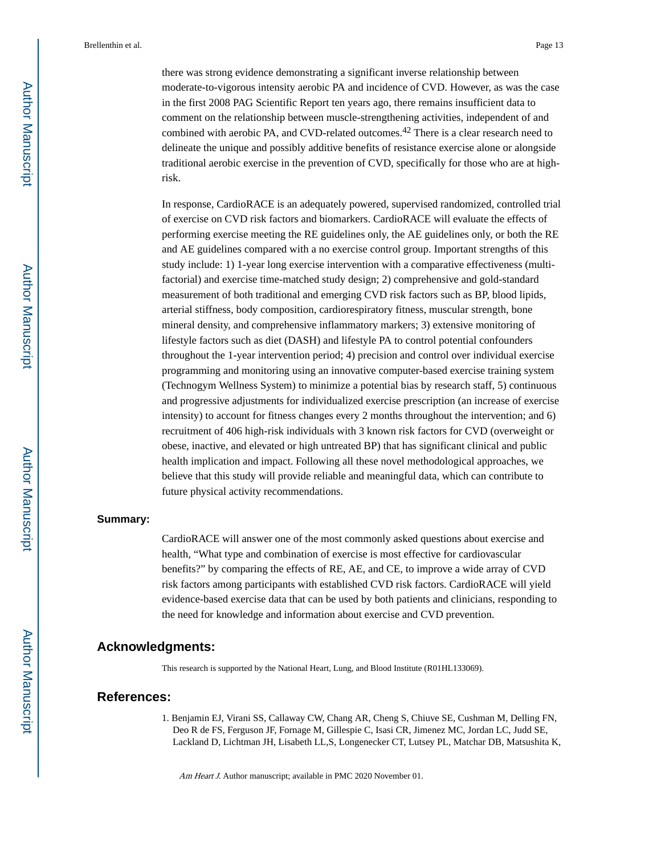there was strong evidence demonstrating a significant inverse relationship between moderate-to-vigorous intensity aerobic PA and incidence of CVD. However, as was the case in the first 2008 PAG Scientific Report ten years ago, there remains insufficient data to comment on the relationship between muscle-strengthening activities, independent of and combined with aerobic PA, and CVD-related outcomes.42 There is a clear research need to delineate the unique and possibly additive benefits of resistance exercise alone or alongside traditional aerobic exercise in the prevention of CVD, specifically for those who are at highrisk.

In response, CardioRACE is an adequately powered, supervised randomized, controlled trial of exercise on CVD risk factors and biomarkers. CardioRACE will evaluate the effects of performing exercise meeting the RE guidelines only, the AE guidelines only, or both the RE and AE guidelines compared with a no exercise control group. Important strengths of this study include: 1) 1-year long exercise intervention with a comparative effectiveness (multifactorial) and exercise time-matched study design; 2) comprehensive and gold-standard measurement of both traditional and emerging CVD risk factors such as BP, blood lipids, arterial stiffness, body composition, cardiorespiratory fitness, muscular strength, bone mineral density, and comprehensive inflammatory markers; 3) extensive monitoring of lifestyle factors such as diet (DASH) and lifestyle PA to control potential confounders throughout the 1-year intervention period; 4) precision and control over individual exercise programming and monitoring using an innovative computer-based exercise training system (Technogym Wellness System) to minimize a potential bias by research staff, 5) continuous and progressive adjustments for individualized exercise prescription (an increase of exercise intensity) to account for fitness changes every 2 months throughout the intervention; and 6) recruitment of 406 high-risk individuals with 3 known risk factors for CVD (overweight or obese, inactive, and elevated or high untreated BP) that has significant clinical and public health implication and impact. Following all these novel methodological approaches, we believe that this study will provide reliable and meaningful data, which can contribute to future physical activity recommendations.

#### **Summary:**

CardioRACE will answer one of the most commonly asked questions about exercise and health, "What type and combination of exercise is most effective for cardiovascular benefits?" by comparing the effects of RE, AE, and CE, to improve a wide array of CVD risk factors among participants with established CVD risk factors. CardioRACE will yield evidence-based exercise data that can be used by both patients and clinicians, responding to the need for knowledge and information about exercise and CVD prevention.

#### **Acknowledgments:**

This research is supported by the National Heart, Lung, and Blood Institute (R01HL133069).

#### **References:**

1. Benjamin EJ, Virani SS, Callaway CW, Chang AR, Cheng S, Chiuve SE, Cushman M, Delling FN, Deo R de FS, Ferguson JF, Fornage M, Gillespie C, Isasi CR, Jimenez MC, Jordan LC, Judd SE, Lackland D, Lichtman JH, Lisabeth LL,S, Longenecker CT, Lutsey PL, Matchar DB, Matsushita K,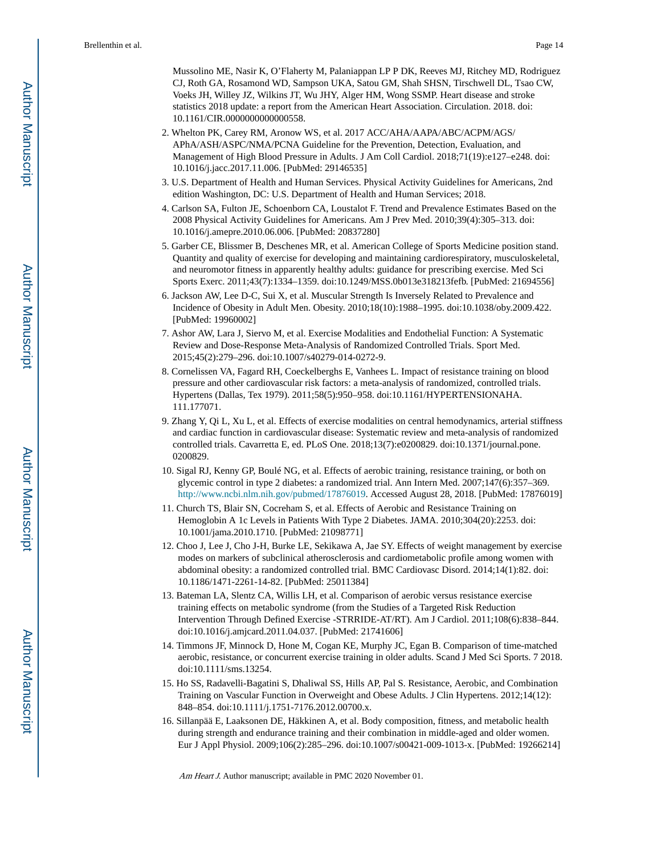Mussolino ME, Nasir K, O'Flaherty M, Palaniappan LP P DK, Reeves MJ, Ritchey MD, Rodriguez CJ, Roth GA, Rosamond WD, Sampson UKA, Satou GM, Shah SHSN, Tirschwell DL, Tsao CW, Voeks JH, Willey JZ, Wilkins JT, Wu JHY, Alger HM, Wong SSMP. Heart disease and stroke statistics 2018 update: a report from the American Heart Association. Circulation. 2018. doi: 10.1161/CIR.0000000000000558.

- 2. Whelton PK, Carey RM, Aronow WS, et al. 2017 ACC/AHA/AAPA/ABC/ACPM/AGS/ APhA/ASH/ASPC/NMA/PCNA Guideline for the Prevention, Detection, Evaluation, and Management of High Blood Pressure in Adults. J Am Coll Cardiol. 2018;71(19):e127–e248. doi: 10.1016/j.jacc.2017.11.006. [PubMed: 29146535]
- 3. U.S. Department of Health and Human Services. Physical Activity Guidelines for Americans, 2nd edition Washington, DC: U.S. Department of Health and Human Services; 2018.
- 4. Carlson SA, Fulton JE, Schoenborn CA, Loustalot F. Trend and Prevalence Estimates Based on the 2008 Physical Activity Guidelines for Americans. Am J Prev Med. 2010;39(4):305–313. doi: 10.1016/j.amepre.2010.06.006. [PubMed: 20837280]
- 5. Garber CE, Blissmer B, Deschenes MR, et al. American College of Sports Medicine position stand. Quantity and quality of exercise for developing and maintaining cardiorespiratory, musculoskeletal, and neuromotor fitness in apparently healthy adults: guidance for prescribing exercise. Med Sci Sports Exerc. 2011;43(7):1334–1359. doi:10.1249/MSS.0b013e318213fefb. [PubMed: 21694556]
- 6. Jackson AW, Lee D-C, Sui X, et al. Muscular Strength Is Inversely Related to Prevalence and Incidence of Obesity in Adult Men. Obesity. 2010;18(10):1988–1995. doi:10.1038/oby.2009.422. [PubMed: 19960002]
- 7. Ashor AW, Lara J, Siervo M, et al. Exercise Modalities and Endothelial Function: A Systematic Review and Dose-Response Meta-Analysis of Randomized Controlled Trials. Sport Med. 2015;45(2):279–296. doi:10.1007/s40279-014-0272-9.
- 8. Cornelissen VA, Fagard RH, Coeckelberghs E, Vanhees L. Impact of resistance training on blood pressure and other cardiovascular risk factors: a meta-analysis of randomized, controlled trials. Hypertens (Dallas, Tex 1979). 2011;58(5):950–958. doi:10.1161/HYPERTENSIONAHA. 111.177071.
- 9. Zhang Y, Qi L, Xu L, et al. Effects of exercise modalities on central hemodynamics, arterial stiffness and cardiac function in cardiovascular disease: Systematic review and meta-analysis of randomized controlled trials. Cavarretta E, ed. PLoS One. 2018;13(7):e0200829. doi:10.1371/journal.pone. 0200829.
- 10. Sigal RJ, Kenny GP, Boulé NG, et al. Effects of aerobic training, resistance training, or both on glycemic control in type 2 diabetes: a randomized trial. Ann Intern Med. 2007;147(6):357–369. [http://www.ncbi.nlm.nih.gov/pubmed/17876019.](http://www.ncbi.nlm.nih.gov/pubmed/17876019) Accessed August 28, 2018. [PubMed: 17876019]
- 11. Church TS, Blair SN, Cocreham S, et al. Effects of Aerobic and Resistance Training on Hemoglobin A 1c Levels in Patients With Type 2 Diabetes. JAMA. 2010;304(20):2253. doi: 10.1001/jama.2010.1710. [PubMed: 21098771]
- 12. Choo J, Lee J, Cho J-H, Burke LE, Sekikawa A, Jae SY. Effects of weight management by exercise modes on markers of subclinical atherosclerosis and cardiometabolic profile among women with abdominal obesity: a randomized controlled trial. BMC Cardiovasc Disord. 2014;14(1):82. doi: 10.1186/1471-2261-14-82. [PubMed: 25011384]
- 13. Bateman LA, Slentz CA, Willis LH, et al. Comparison of aerobic versus resistance exercise training effects on metabolic syndrome (from the Studies of a Targeted Risk Reduction Intervention Through Defined Exercise -STRRIDE-AT/RT). Am J Cardiol. 2011;108(6):838–844. doi:10.1016/j.amjcard.2011.04.037. [PubMed: 21741606]
- 14. Timmons JF, Minnock D, Hone M, Cogan KE, Murphy JC, Egan B. Comparison of time-matched aerobic, resistance, or concurrent exercise training in older adults. Scand J Med Sci Sports. 7 2018. doi:10.1111/sms.13254.
- 15. Ho SS, Radavelli-Bagatini S, Dhaliwal SS, Hills AP, Pal S. Resistance, Aerobic, and Combination Training on Vascular Function in Overweight and Obese Adults. J Clin Hypertens. 2012;14(12): 848–854. doi:10.1111/j.1751-7176.2012.00700.x.
- 16. Sillanpää E, Laaksonen DE, Häkkinen A, et al. Body composition, fitness, and metabolic health during strength and endurance training and their combination in middle-aged and older women. Eur J Appl Physiol. 2009;106(2):285–296. doi:10.1007/s00421-009-1013-x. [PubMed: 19266214]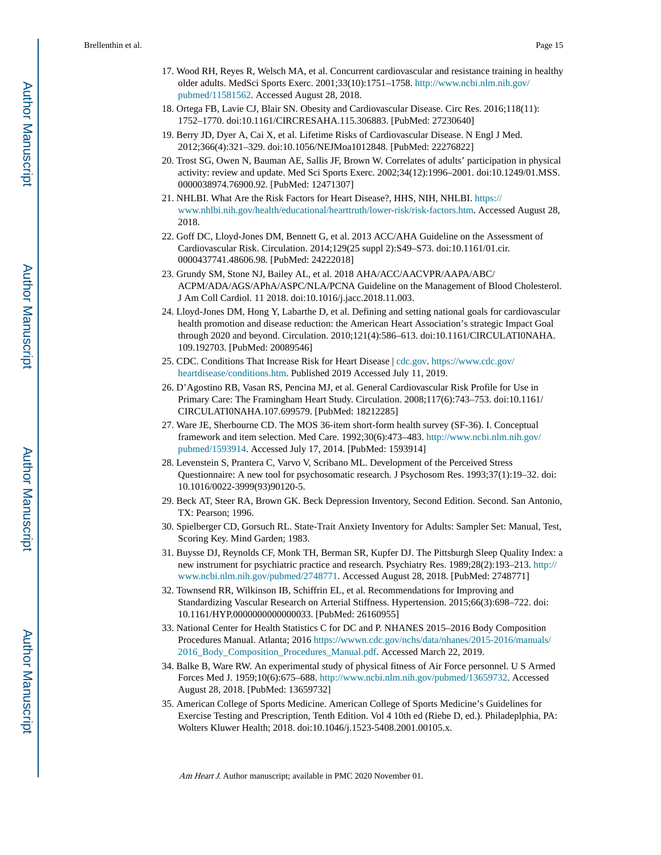- 17. Wood RH, Reyes R, Welsch MA, et al. Concurrent cardiovascular and resistance training in healthy older adults. MedSci Sports Exerc. 2001;33(10):1751–1758. [http://www.ncbi.nlm.nih.gov/](http://www.ncbi.nlm.nih.gov/pubmed/11581562) [pubmed/11581562](http://www.ncbi.nlm.nih.gov/pubmed/11581562). Accessed August 28, 2018.
- 18. Ortega FB, Lavie CJ, Blair SN. Obesity and Cardiovascular Disease. Circ Res. 2016;118(11): 1752–1770. doi:10.1161/CIRCRESAHA.115.306883. [PubMed: 27230640]
- 19. Berry JD, Dyer A, Cai X, et al. Lifetime Risks of Cardiovascular Disease. N Engl J Med. 2012;366(4):321–329. doi:10.1056/NEJMoa1012848. [PubMed: 22276822]
- 20. Trost SG, Owen N, Bauman AE, Sallis JF, Brown W. Correlates of adults' participation in physical activity: review and update. Med Sci Sports Exerc. 2002;34(12):1996–2001. doi:10.1249/01.MSS. 0000038974.76900.92. [PubMed: 12471307]
- 21. NHLBI. What Are the Risk Factors for Heart Disease?, HHS, NIH, NHLBI. [https://](https://www.nhlbi.nih.gov/health/educational/hearttruth/lower-risk/risk-factors.htm) [www.nhlbi.nih.gov/health/educational/hearttruth/lower-risk/risk-factors.htm.](https://www.nhlbi.nih.gov/health/educational/hearttruth/lower-risk/risk-factors.htm) Accessed August 28, 2018.
- 22. Goff DC, Lloyd-Jones DM, Bennett G, et al. 2013 ACC/AHA Guideline on the Assessment of Cardiovascular Risk. Circulation. 2014;129(25 suppl 2):S49–S73. doi:10.1161/01.cir. 0000437741.48606.98. [PubMed: 24222018]
- 23. Grundy SM, Stone NJ, Bailey AL, et al. 2018 AHA/ACC/AACVPR/AAPA/ABC/ ACPM/ADA/AGS/APhA/ASPC/NLA/PCNA Guideline on the Management of Blood Cholesterol. J Am Coll Cardiol. 11 2018. doi:10.1016/j.jacc.2018.11.003.
- 24. Lloyd-Jones DM, Hong Y, Labarthe D, et al. Defining and setting national goals for cardiovascular health promotion and disease reduction: the American Heart Association's strategic Impact Goal through 2020 and beyond. Circulation. 2010;121(4):586–613. doi:10.1161/CIRCULATI0NAHA. 109.192703. [PubMed: 20089546]
- 25. CDC. Conditions That Increase Risk for Heart Disease | [cdc.gov](https://cdc.gov). [https://www.cdc.gov/](https://www.cdc.gov/heartdisease/conditions.htm) [heartdisease/conditions.htm](https://www.cdc.gov/heartdisease/conditions.htm). Published 2019 Accessed July 11, 2019.
- 26. D'Agostino RB, Vasan RS, Pencina MJ, et al. General Cardiovascular Risk Profile for Use in Primary Care: The Framingham Heart Study. Circulation. 2008;117(6):743–753. doi:10.1161/ CIRCULATI0NAHA.107.699579. [PubMed: 18212285]
- 27. Ware JE, Sherbourne CD. The MOS 36-item short-form health survey (SF-36). I. Conceptual framework and item selection. Med Care. 1992;30(6):473–483. [http://www.ncbi.nlm.nih.gov/](http://www.ncbi.nlm.nih.gov/pubmed/1593914) [pubmed/1593914.](http://www.ncbi.nlm.nih.gov/pubmed/1593914) Accessed July 17, 2014. [PubMed: 1593914]
- 28. Levenstein S, Prantera C, Varvo V, Scribano ML. Development of the Perceived Stress Questionnaire: A new tool for psychosomatic research. J Psychosom Res. 1993;37(1):19–32. doi: 10.1016/0022-3999(93)90120-5.
- 29. Beck AT, Steer RA, Brown GK. Beck Depression Inventory, Second Edition. Second. San Antonio, TX: Pearson; 1996.
- 30. Spielberger CD, Gorsuch RL. State-Trait Anxiety Inventory for Adults: Sampler Set: Manual, Test, Scoring Key. Mind Garden; 1983.
- 31. Buysse DJ, Reynolds CF, Monk TH, Berman SR, Kupfer DJ. The Pittsburgh Sleep Quality Index: a new instrument for psychiatric practice and research. Psychiatry Res. 1989;28(2):193–213. [http://](http://www.ncbi.nlm.nih.gov/pubmed/2748771) [www.ncbi.nlm.nih.gov/pubmed/2748771.](http://www.ncbi.nlm.nih.gov/pubmed/2748771) Accessed August 28, 2018. [PubMed: 2748771]
- 32. Townsend RR, Wilkinson IB, Schiffrin EL, et al. Recommendations for Improving and Standardizing Vascular Research on Arterial Stiffness. Hypertension. 2015;66(3):698–722. doi: 10.1161/HYP.0000000000000033. [PubMed: 26160955]
- 33. National Center for Health Statistics C for DC and P. NHANES 2015–2016 Body Composition Procedures Manual. Atlanta; 2016 [https://wwwn.cdc.gov/nchs/data/nhanes/2015-2016/manuals/](https://wwwn.cdc.gov/nchs/data/nhanes/2015-2016/manuals/2016_Body_Composition_Procedures_Manual.pdf) [2016\\_Body\\_Composition\\_Procedures\\_Manual.pdf.](https://wwwn.cdc.gov/nchs/data/nhanes/2015-2016/manuals/2016_Body_Composition_Procedures_Manual.pdf) Accessed March 22, 2019.
- 34. Balke B, Ware RW. An experimental study of physical fitness of Air Force personnel. U S Armed Forces Med J. 1959;10(6):675–688.<http://www.ncbi.nlm.nih.gov/pubmed/13659732>. Accessed August 28, 2018. [PubMed: 13659732]
- 35. American College of Sports Medicine. American College of Sports Medicine's Guidelines for Exercise Testing and Prescription, Tenth Edition. Vol 4 10th ed (Riebe D, ed.). Philadeplphia, PA: Wolters Kluwer Health; 2018. doi:10.1046/j.1523-5408.2001.00105.x.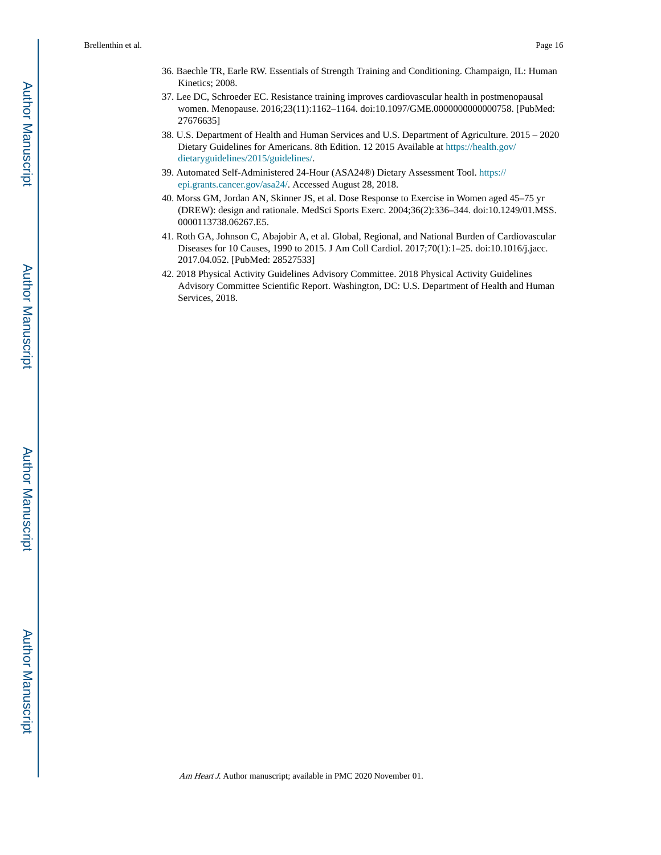- 36. Baechle TR, Earle RW. Essentials of Strength Training and Conditioning. Champaign, IL: Human Kinetics; 2008.
- 37. Lee DC, Schroeder EC. Resistance training improves cardiovascular health in postmenopausal women. Menopause. 2016;23(11):1162–1164. doi:10.1097/GME.0000000000000758. [PubMed: 27676635]
- 38. U.S. Department of Health and Human Services and U.S. Department of Agriculture. 2015 2020 Dietary Guidelines for Americans. 8th Edition. 12 2015 Available at [https://health.gov/](https://health.gov/dietaryguidelines/2015/guidelines/) [dietaryguidelines/2015/guidelines/](https://health.gov/dietaryguidelines/2015/guidelines/).
- 39. Automated Self-Administered 24-Hour (ASA24®) Dietary Assessment Tool. [https://](https://epi.grants.cancer.gov/asa24/) [epi.grants.cancer.gov/asa24/.](https://epi.grants.cancer.gov/asa24/) Accessed August 28, 2018.
- 40. Morss GM, Jordan AN, Skinner JS, et al. Dose Response to Exercise in Women aged 45–75 yr (DREW): design and rationale. MedSci Sports Exerc. 2004;36(2):336–344. doi:10.1249/01.MSS. 0000113738.06267.E5.
- 41. Roth GA, Johnson C, Abajobir A, et al. Global, Regional, and National Burden of Cardiovascular Diseases for 10 Causes, 1990 to 2015. J Am Coll Cardiol. 2017;70(1):1–25. doi:10.1016/j.jacc. 2017.04.052. [PubMed: 28527533]
- 42. 2018 Physical Activity Guidelines Advisory Committee. 2018 Physical Activity Guidelines Advisory Committee Scientific Report. Washington, DC: U.S. Department of Health and Human Services, 2018.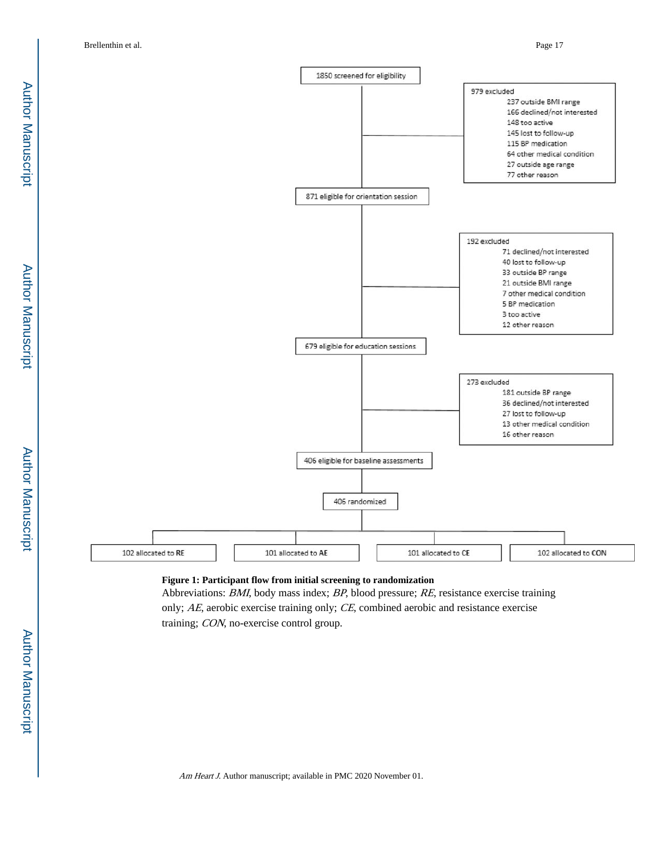Author Manuscript Author Manuscript



## **Figure 1: Participant flow from initial screening to randomization**

Abbreviations: BMI, body mass index; BP, blood pressure; RE, resistance exercise training only; AE, aerobic exercise training only; CE, combined aerobic and resistance exercise training; CON, no-exercise control group.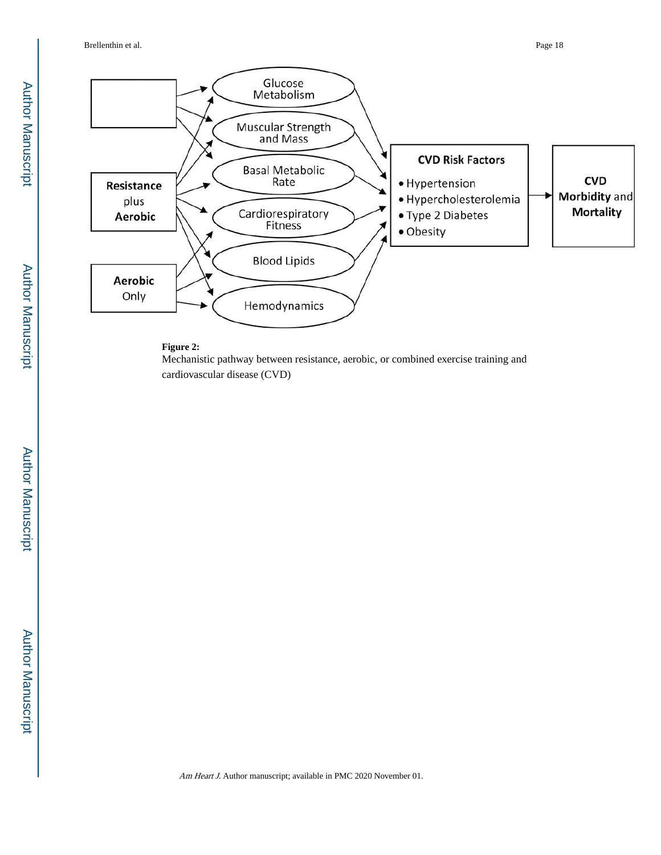

#### **Figure 2:**

Mechanistic pathway between resistance, aerobic, or combined exercise training and cardiovascular disease (CVD)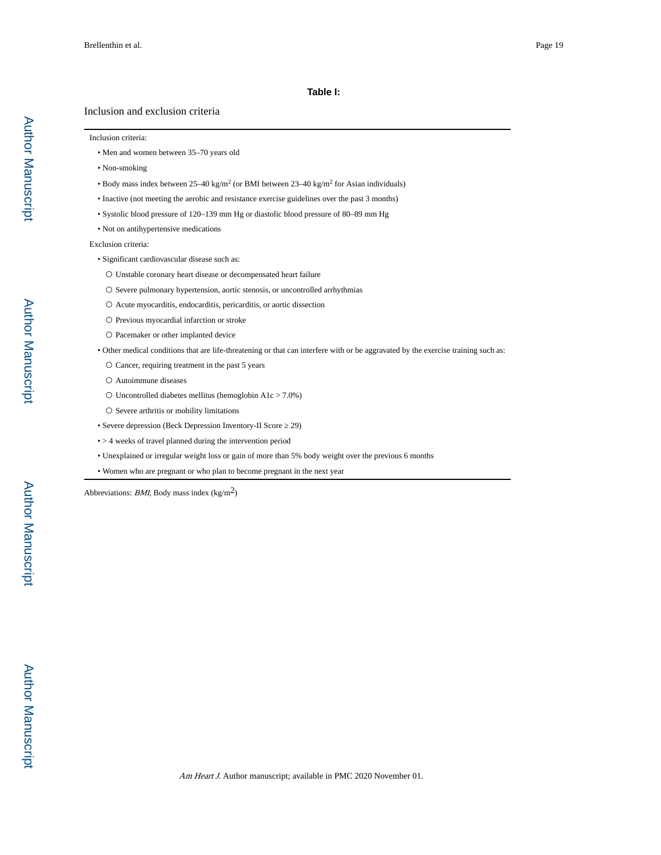#### **Table I:**

#### Inclusion and exclusion criteria

#### Inclusion criteria:

- Men and women between 35–70 years old
- Non-smoking
- Body mass index between  $25-40 \text{ kg/m}^2$  (or BMI between  $23-40 \text{ kg/m}^2$  for Asian individuals)
	- Inactive (not meeting the aerobic and resistance exercise guidelines over the past 3 months)
	- Systolic blood pressure of 120–139 mm Hg or diastolic blood pressure of 80–89 mm Hg
- Not on antihypertensive medications

Exclusion criteria:

- Significant cardiovascular disease such as:
	- Unstable coronary heart disease or decompensated heart failure
	- $\bigcirc$  Severe pulmonary hypertension, aortic stenosis, or uncontrolled arrhythmias
	- Acute myocarditis, endocarditis, pericarditis, or aortic dissection
- Previous myocardial infarction or stroke
- Pacemaker or other implanted device
- Other medical conditions that are life-threatening or that can interfere with or be aggravated by the exercise training such as:
	- Cancer, requiring treatment in the past 5 years
	- Autoimmune diseases
	- $\circ$  Uncontrolled diabetes mellitus (hemoglobin A1c > 7.0%)
	- Severe arthritis or mobility limitations
- Severe depression (Beck Depression Inventory-II Score 29)
- > 4 weeks of travel planned during the intervention period
- Unexplained or irregular weight loss or gain of more than 5% body weight over the previous 6 months
- Women who are pregnant or who plan to become pregnant in the next year

Abbreviations: *BMI*, Body mass index  $(kg/m^2)$ 

Author Manuscript

Author Manuscript

Author Manuscript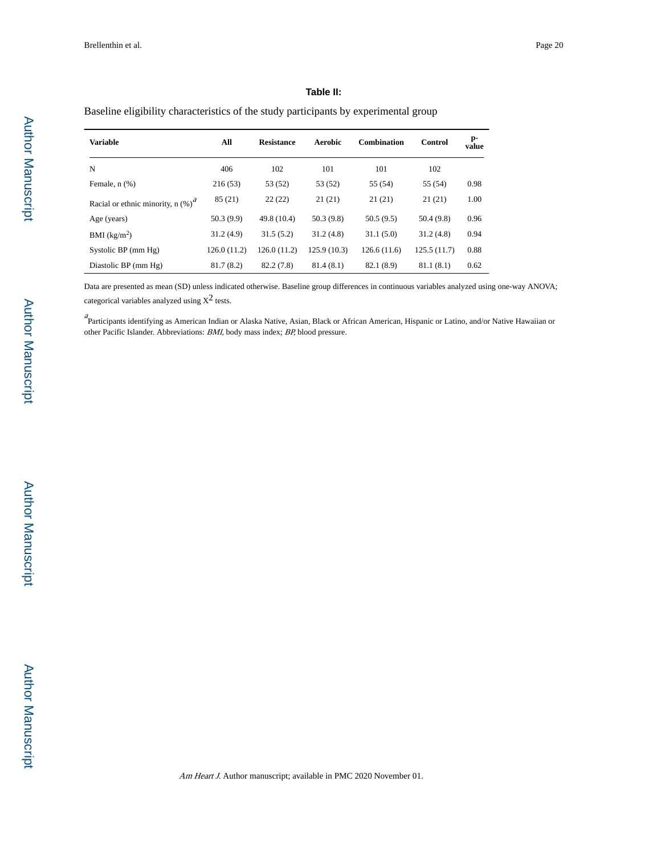$\overline{a}$ 

 $\overline{a}$ 

#### **Table II:**

#### Baseline eligibility characteristics of the study participants by experimental group

| <b>Variable</b>                       | All         | <b>Resistance</b> | Aerobic     | <b>Combination</b> | Control     | p-<br>value |
|---------------------------------------|-------------|-------------------|-------------|--------------------|-------------|-------------|
| N                                     | 406         | 102               | 101         | 101                | 102         |             |
| Female, $n$ $(\%)$                    | 216(53)     | 53 (52)           | 53 (52)     | 55 (54)            | 55 (54)     | 0.98        |
| Racial or ethnic minority, n $(\%)^d$ | 85(21)      | 22(22)            | 21(21)      | 21(21)             | 21(21)      | 1.00        |
| Age (years)                           | 50.3(9.9)   | 49.8 (10.4)       | 50.3(9.8)   | 50.5(9.5)          | 50.4(9.8)   | 0.96        |
| BMI $(kg/m2)$                         | 31.2(4.9)   | 31.5(5.2)         | 31.2(4.8)   | 31.1(5.0)          | 31.2(4.8)   | 0.94        |
| Systolic BP (mm Hg)                   | 126.0(11.2) | 126.0(11.2)       | 125.9(10.3) | 126.6(11.6)        | 125.5(11.7) | 0.88        |
| Diastolic BP (mm Hg)                  | 81.7(8.2)   | 82.2 (7.8)        | 81.4(8.1)   | 82.1 (8.9)         | 81.1(8.1)   | 0.62        |

Data are presented as mean (SD) unless indicated otherwise. Baseline group differences in continuous variables analyzed using one-way ANOVA; categorical variables analyzed using  $X^2$  tests.

a<br>Participants identifying as American Indian or Alaska Native, Asian, Black or African American, Hispanic or Latino, and/or Native Hawaiian or other Pacific Islander. Abbreviations: BMI, body mass index; BP, blood pressure.